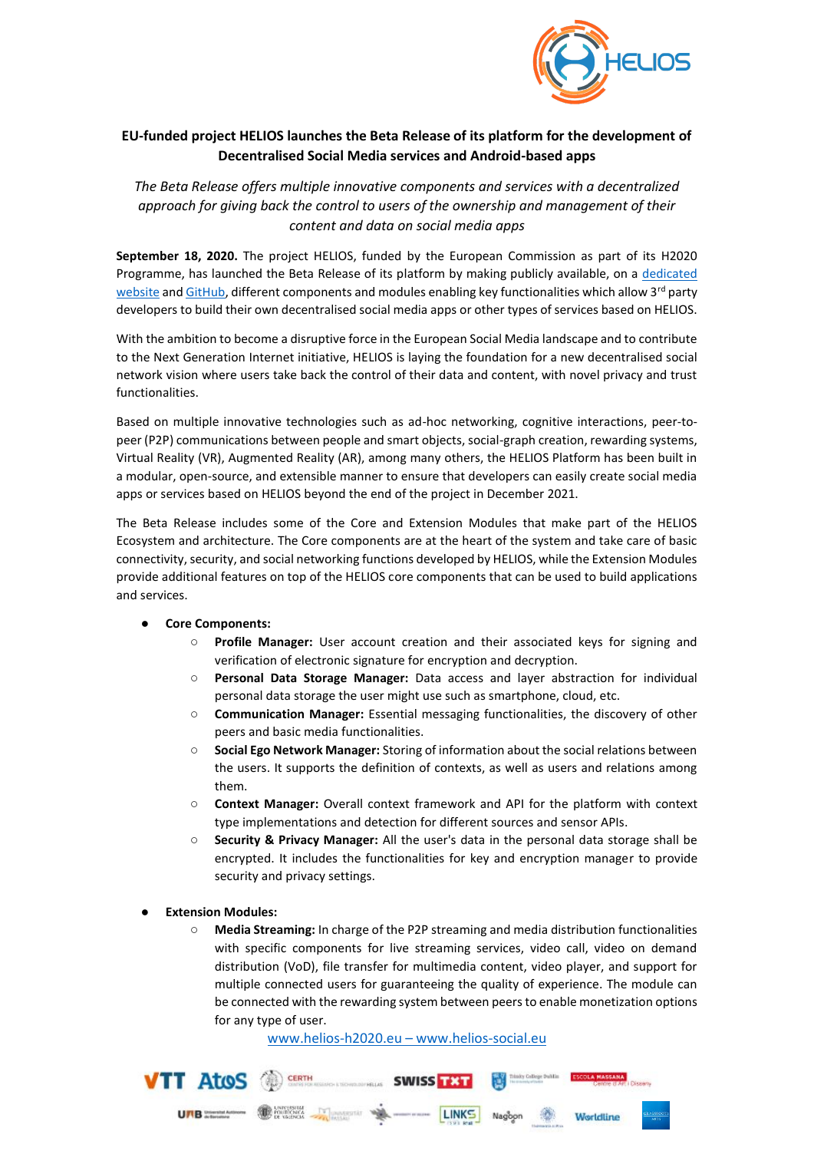

## **EU-funded project HELIOS launches the Beta Release of its platform for the development of Decentralised Social Media services and Android-based apps**

*The Beta Release offers multiple innovative components and services with a decentralized approach for giving back the control to users of the ownership and management of their content and data on social media apps*

**September 18, 2020.** The project HELIOS, funded by the European Commission as part of its H2020 Programme, has launched the Beta Release of its platform by making publicly available, on a dedicated [website](http://www.helios-social.eu/) an[d GitHub,](https://github.com/helios-h2020) different components and modules enabling key functionalities which allow 3<sup>rd</sup> party developers to build their own decentralised social media apps or other types of services based on HELIOS.

With the ambition to become a disruptive force in the European Social Media landscape and to contribute to the Next Generation Internet initiative, HELIOS is laying the foundation for a new decentralised social network vision where users take back the control of their data and content, with novel privacy and trust functionalities.

Based on multiple innovative technologies such as ad-hoc networking, cognitive interactions, peer-topeer (P2P) communications between people and smart objects, social-graph creation, rewarding systems, Virtual Reality (VR), Augmented Reality (AR), among many others, the HELIOS Platform has been built in a modular, open-source, and extensible manner to ensure that developers can easily create social media apps or services based on HELIOS beyond the end of the project in December 2021.

The Beta Release includes some of the Core and Extension Modules that make part of the HELIOS Ecosystem and architecture. The Core components are at the heart of the system and take care of basic connectivity, security, and social networking functions developed by HELIOS, while the Extension Modules provide additional features on top of the HELIOS core components that can be used to build applications and services.

## ● **Core Components:**

- **Profile Manager:** User account creation and their associated keys for signing and verification of electronic signature for encryption and decryption.
- **Personal Data Storage Manager:** Data access and layer abstraction for individual personal data storage the user might use such as smartphone, cloud, etc.
- **Communication Manager:** Essential messaging functionalities, the discovery of other peers and basic media functionalities.
- **Social Ego Network Manager:** Storing of information about the social relations between the users. It supports the definition of contexts, as well as users and relations among them.
- **Context Manager:** Overall context framework and API for the platform with context type implementations and detection for different sources and sensor APIs.
- **Security & Privacy Manager:** All the user's data in the personal data storage shall be encrypted. It includes the functionalities for key and encryption manager to provide security and privacy settings.
- **Extension Modules:** 
	- **Media Streaming:** In charge of the P2P streaming and media distribution functionalities with specific components for live streaming services, video call, video on demand distribution (VoD), file transfer for multimedia content, video player, and support for multiple connected users for guaranteeing the quality of experience. The module can be connected with the rewarding system between peers to enable monetization options for any type of user.

[www.helios-h2020.eu](http://www.helios-h2020.eu/) – www.helios-social.eu